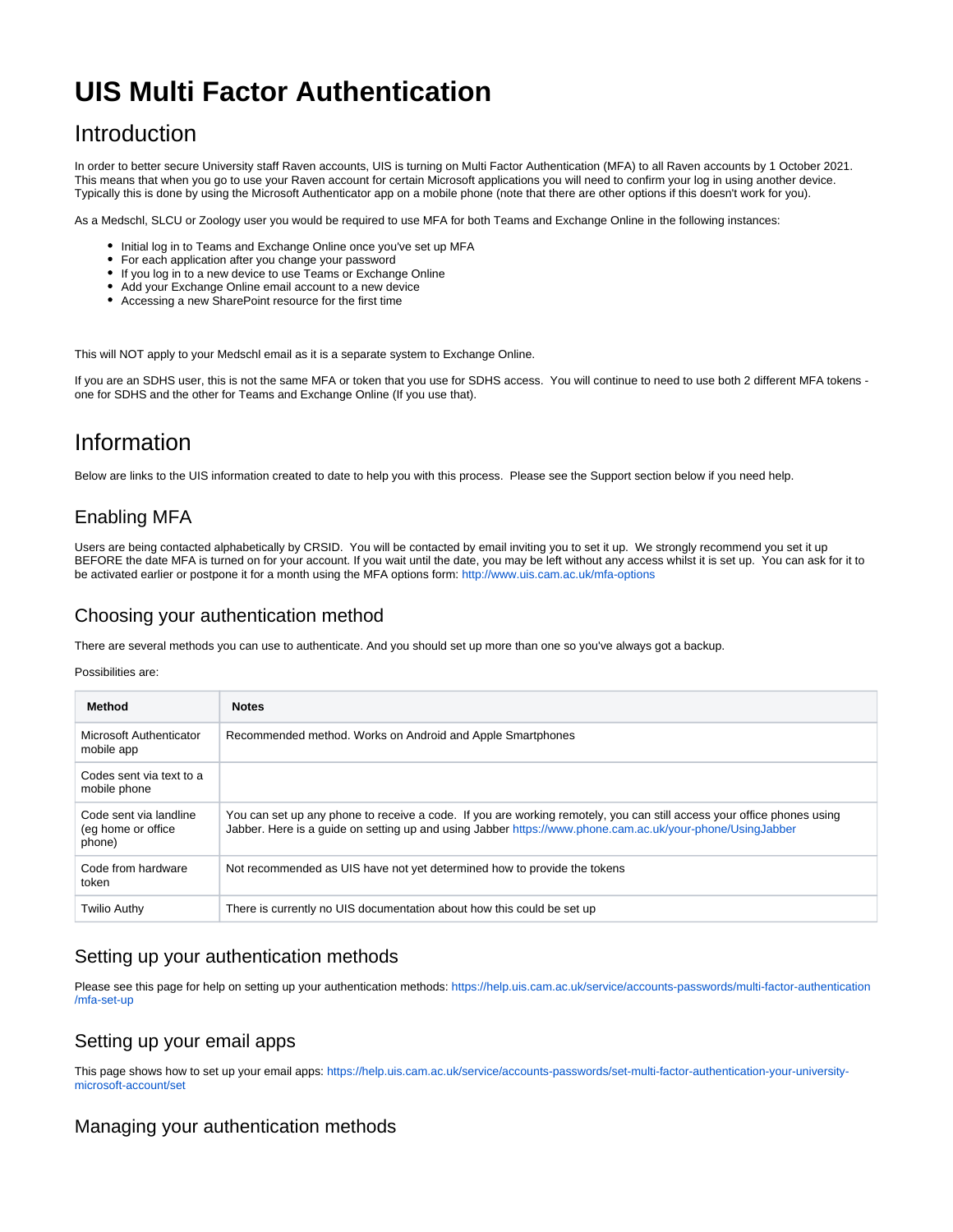# **UIS Multi Factor Authentication**

# Introduction

In order to better secure University staff Raven accounts, UIS is turning on Multi Factor Authentication (MFA) to all Raven accounts by 1 October 2021. This means that when you go to use your Raven account for certain Microsoft applications you will need to confirm your log in using another device. Typically this is done by using the Microsoft Authenticator app on a mobile phone (note that there are other options if this doesn't work for you).

As a Medschl, SLCU or Zoology user you would be required to use MFA for both Teams and Exchange Online in the following instances:

- Initial log in to Teams and Exchange Online once you've set up MFA
- For each application after you change your password
- If you log in to a new device to use Teams or Exchange Online
- Add your Exchange Online email account to a new device
- Accessing a new SharePoint resource for the first time

This will NOT apply to your Medschl email as it is a separate system to Exchange Online.

If you are an SDHS user, this is not the same MFA or token that you use for SDHS access. You will continue to need to use both 2 different MFA tokens one for SDHS and the other for Teams and Exchange Online (If you use that).

# Information

Below are links to the UIS information created to date to help you with this process. Please see the Support section below if you need help.

# Enabling MFA

Users are being contacted alphabetically by CRSID. You will be contacted by email inviting you to set it up. We strongly recommend you set it up BEFORE the date MFA is turned on for your account. If you wait until the date, you may be left without any access whilst it is set up. You can ask for it to be activated earlier or postpone it for a month using the MFA options form: <http://www.uis.cam.ac.uk/mfa-options>

# Choosing your authentication method

There are several methods you can use to authenticate. And you should set up more than one so you've always got a backup.

#### Possibilities are:

| Method                                                  | <b>Notes</b>                                                                                                                                                                                                                        |
|---------------------------------------------------------|-------------------------------------------------------------------------------------------------------------------------------------------------------------------------------------------------------------------------------------|
| Microsoft Authenticator<br>mobile app                   | Recommended method. Works on Android and Apple Smartphones                                                                                                                                                                          |
| Codes sent via text to a<br>mobile phone                |                                                                                                                                                                                                                                     |
| Code sent via landline<br>(eq home or office)<br>phone) | You can set up any phone to receive a code. If you are working remotely, you can still access your office phones using<br>Jabber. Here is a quide on setting up and using Jabber https://www.phone.cam.ac.uk/your-phone/UsingJabber |
| Code from hardware<br>token                             | Not recommended as UIS have not yet determined how to provide the tokens                                                                                                                                                            |
| Twilio Authy                                            | There is currently no UIS documentation about how this could be set up                                                                                                                                                              |

## Setting up your authentication methods

Please see this page for help on setting up your authentication methods: [https://help.uis.cam.ac.uk/service/accounts-passwords/multi-factor-authentication](https://help.uis.cam.ac.uk/service/accounts-passwords/multi-factor-authentication/mfa-set-up) [/mfa-set-up](https://help.uis.cam.ac.uk/service/accounts-passwords/multi-factor-authentication/mfa-set-up)

## Setting up your email apps

This page shows how to set up your email apps: [https://help.uis.cam.ac.uk/service/accounts-passwords/set-multi-factor-authentication-your-university](https://help.uis.cam.ac.uk/service/accounts-passwords/set-multi-factor-authentication-your-university-microsoft-account/set)[microsoft-account/set](https://help.uis.cam.ac.uk/service/accounts-passwords/set-multi-factor-authentication-your-university-microsoft-account/set)

## Managing your authentication methods